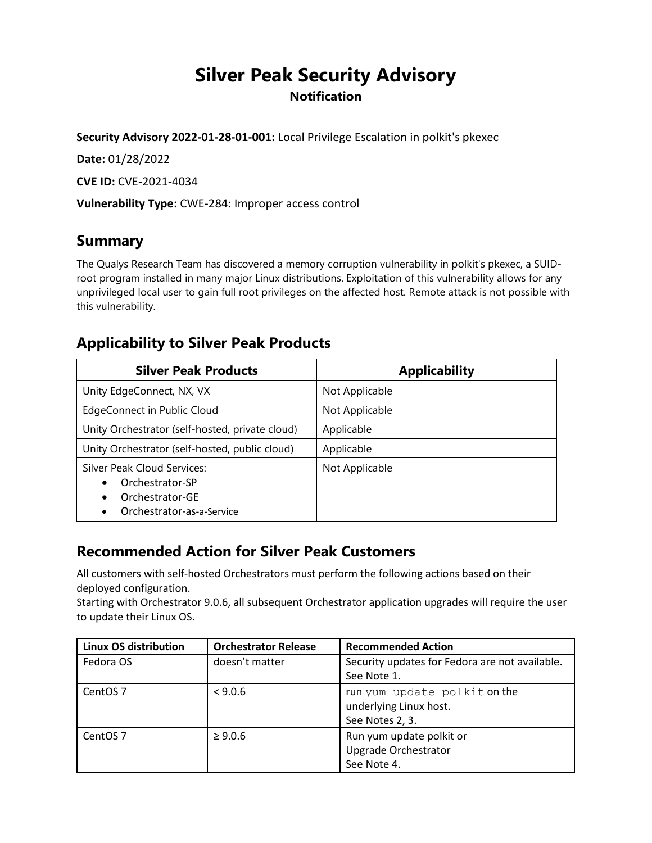# **Silver Peak Security Advisory Notification**

**Security Advisory 2022-01-28-01-001:** Local Privilege Escalation in polkit's pkexec

**Date:** 01/28/2022

**CVE ID:** CVE-2021-4034

**Vulnerability Type:** CWE-284: Improper access control

### **Summary**

The Qualys Research Team has discovered a memory corruption vulnerability in polkit's pkexec, a SUIDroot program installed in many major Linux distributions. Exploitation of this vulnerability allows for any unprivileged local user to gain full root privileges on the affected host. Remote attack is not possible with this vulnerability.

#### **Applicability to Silver Peak Products**

| <b>Silver Peak Products</b>                                                                                      | <b>Applicability</b> |
|------------------------------------------------------------------------------------------------------------------|----------------------|
| Unity EdgeConnect, NX, VX                                                                                        | Not Applicable       |
| EdgeConnect in Public Cloud                                                                                      | Not Applicable       |
| Unity Orchestrator (self-hosted, private cloud)                                                                  | Applicable           |
| Unity Orchestrator (self-hosted, public cloud)                                                                   | Applicable           |
| Silver Peak Cloud Services:<br>Orchestrator-SP<br>Orchestrator-GE<br>$\bullet$<br>Orchestrator-as-a-Service<br>٠ | Not Applicable       |

## **Recommended Action for Silver Peak Customers**

All customers with self-hosted Orchestrators must perform the following actions based on their deployed configuration.

Starting with Orchestrator 9.0.6, all subsequent Orchestrator application upgrades will require the user to update their Linux OS.

| Linux OS distribution | <b>Orchestrator Release</b> | <b>Recommended Action</b>                      |
|-----------------------|-----------------------------|------------------------------------------------|
| Fedora OS             | doesn't matter              | Security updates for Fedora are not available. |
|                       |                             | See Note 1.                                    |
| CentOS <sub>7</sub>   | < 9.0.6                     | run yum update polkit on the                   |
|                       |                             | underlying Linux host.                         |
|                       |                             | See Notes 2, 3.                                |
| CentOS <sub>7</sub>   | $\geq 9.0.6$                | Run yum update polkit or                       |
|                       |                             | Upgrade Orchestrator                           |
|                       |                             | See Note 4.                                    |